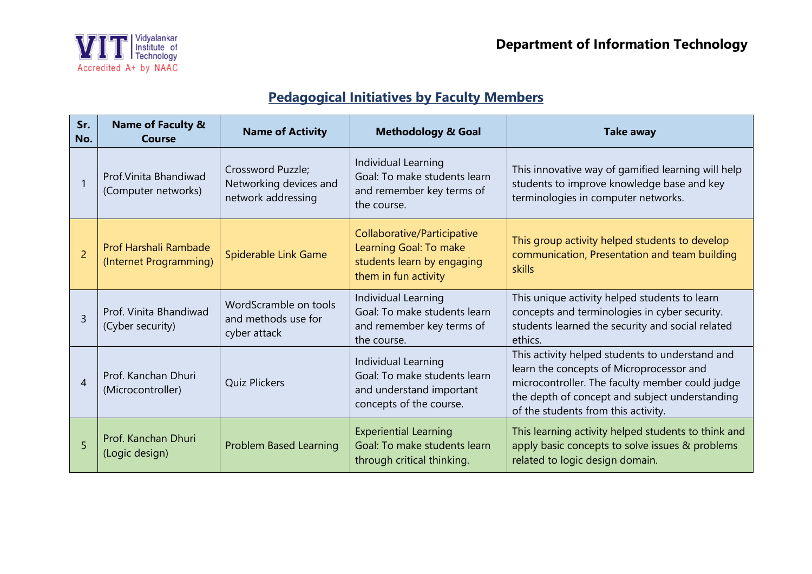

## **Pedagogical Initiatives by Faculty Members**

| Sr.<br>No.     | <b>Name of Faculty &amp;</b><br>Course          | <b>Name of Activity</b>                                           | <b>Methodology &amp; Goal</b>                                                                               | <b>Take away</b>                                                                                                                                                                                                                        |
|----------------|-------------------------------------------------|-------------------------------------------------------------------|-------------------------------------------------------------------------------------------------------------|-----------------------------------------------------------------------------------------------------------------------------------------------------------------------------------------------------------------------------------------|
|                | Prof. Vinita Bhandiwad<br>(Computer networks)   | Crossword Puzzle;<br>Networking devices and<br>network addressing | Individual Learning<br>Goal: To make students learn<br>and remember key terms of<br>the course.             | This innovative way of gamified learning will help<br>students to improve knowledge base and key<br>terminologies in computer networks.                                                                                                 |
| $\overline{2}$ | Prof Harshali Rambade<br>(Internet Programming) | Spiderable Link Game                                              | Collaborative/Participative<br>Learning Goal: To make<br>students learn by engaging<br>them in fun activity | This group activity helped students to develop<br>communication, Presentation and team building<br>skills                                                                                                                               |
| $\mathsf{R}$   | Prof. Vinita Bhandiwad<br>(Cyber security)      | WordScramble on tools<br>and methods use for<br>cyber attack      | Individual Learning<br>Goal: To make students learn<br>and remember key terms of<br>the course.             | This unique activity helped students to learn<br>concepts and terminologies in cyber security.<br>students learned the security and social related<br>ethics.                                                                           |
| 4              | Prof. Kanchan Dhuri<br>(Microcontroller)        | <b>Quiz Plickers</b>                                              | Individual Learning<br>Goal: To make students learn<br>and understand important<br>concepts of the course.  | This activity helped students to understand and<br>learn the concepts of Microprocessor and<br>microcontroller. The faculty member could judge<br>the depth of concept and subject understanding<br>of the students from this activity. |
| 5              | Prof. Kanchan Dhuri<br>(Logic design)           | <b>Problem Based Learning</b>                                     | <b>Experiential Learning</b><br>Goal: To make students learn<br>through critical thinking.                  | This learning activity helped students to think and<br>apply basic concepts to solve issues & problems<br>related to logic design domain.                                                                                               |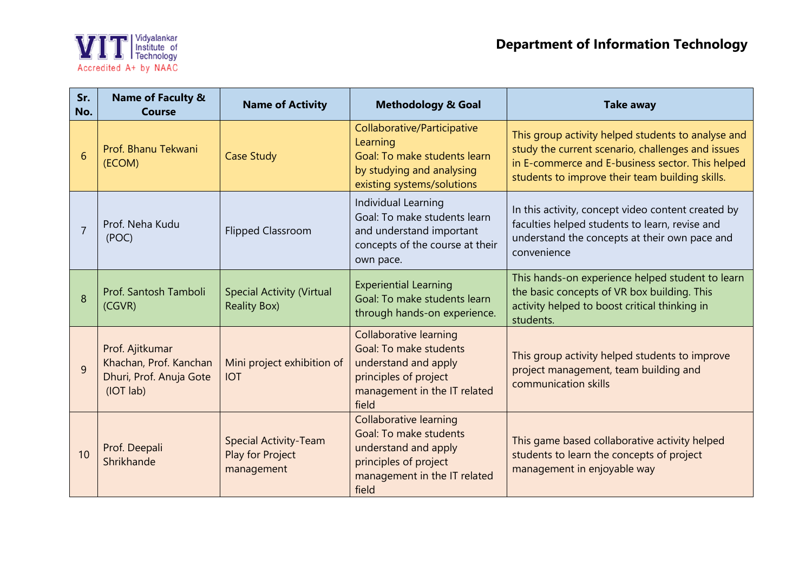

| Sr.<br>No. | <b>Name of Faculty &amp;</b><br><b>Course</b>                                     | <b>Name of Activity</b>                                        | <b>Methodology &amp; Goal</b>                                                                                                                     | <b>Take away</b>                                                                                                                                                                                               |
|------------|-----------------------------------------------------------------------------------|----------------------------------------------------------------|---------------------------------------------------------------------------------------------------------------------------------------------------|----------------------------------------------------------------------------------------------------------------------------------------------------------------------------------------------------------------|
| 6          | Prof. Bhanu Tekwani<br>(ECOM)                                                     | <b>Case Study</b>                                              | Collaborative/Participative<br>Learning<br>Goal: To make students learn<br>by studying and analysing<br>existing systems/solutions                | This group activity helped students to analyse and<br>study the current scenario, challenges and issues<br>in E-commerce and E-business sector. This helped<br>students to improve their team building skills. |
|            | Prof. Neha Kudu<br>(POC)                                                          | <b>Flipped Classroom</b>                                       | Individual Learning<br>Goal: To make students learn<br>and understand important<br>concepts of the course at their<br>own pace.                   | In this activity, concept video content created by<br>faculties helped students to learn, revise and<br>understand the concepts at their own pace and<br>convenience                                           |
| 8          | Prof. Santosh Tamboli<br>(CGVR)                                                   | <b>Special Activity (Virtual</b><br><b>Reality Box)</b>        | <b>Experiential Learning</b><br>Goal: To make students learn<br>through hands-on experience.                                                      | This hands-on experience helped student to learn<br>the basic concepts of VR box building. This<br>activity helped to boost critical thinking in<br>students.                                                  |
| 9          | Prof. Ajitkumar<br>Khachan, Prof. Kanchan<br>Dhuri, Prof. Anuja Gote<br>(IOT lab) | Mini project exhibition of<br><b>IOT</b>                       | <b>Collaborative learning</b><br>Goal: To make students<br>understand and apply<br>principles of project<br>management in the IT related<br>field | This group activity helped students to improve<br>project management, team building and<br>communication skills                                                                                                |
| 10         | Prof. Deepali<br>Shrikhande                                                       | <b>Special Activity-Team</b><br>Play for Project<br>management | <b>Collaborative learning</b><br>Goal: To make students<br>understand and apply<br>principles of project<br>management in the IT related<br>field | This game based collaborative activity helped<br>students to learn the concepts of project<br>management in enjoyable way                                                                                      |